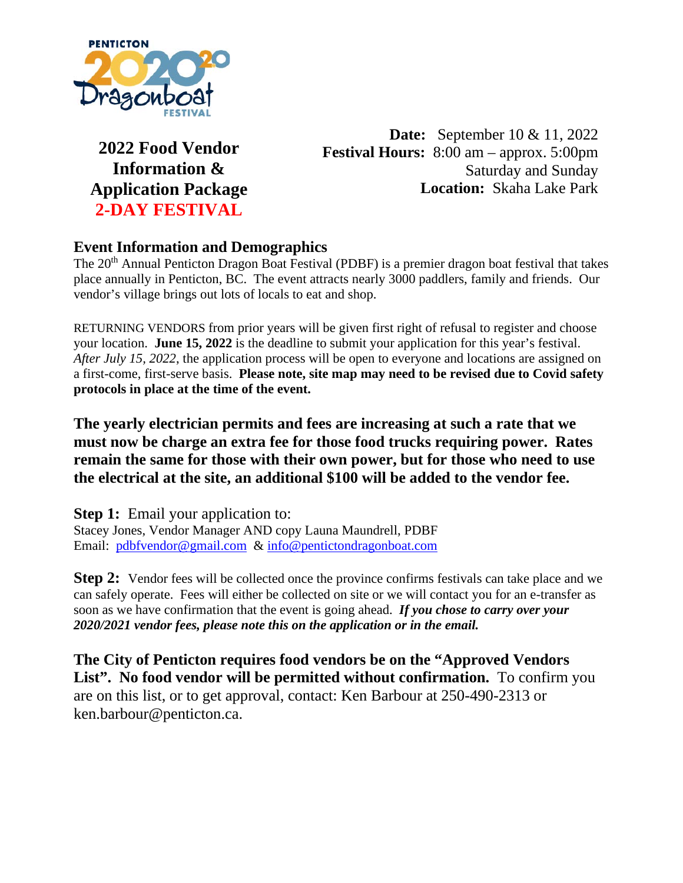

**2022 Food Vendor Information & Application Package 2-DAY FESTIVAL** 

**Date:** September 10 & 11, 2022 **Festival Hours:** 8:00 am – approx. 5:00pm Saturday and Sunday **Location:** Skaha Lake Park

# **Event Information and Demographics**

The 20<sup>th</sup> Annual Penticton Dragon Boat Festival (PDBF) is a premier dragon boat festival that takes place annually in Penticton, BC. The event attracts nearly 3000 paddlers, family and friends. Our vendor's village brings out lots of locals to eat and shop.

RETURNING VENDORS from prior years will be given first right of refusal to register and choose your location. **June 15, 2022** is the deadline to submit your application for this year's festival. *After July 15, 2022*, the application process will be open to everyone and locations are assigned on a first-come, first-serve basis. **Please note, site map may need to be revised due to Covid safety protocols in place at the time of the event.**

**The yearly electrician permits and fees are increasing at such a rate that we must now be charge an extra fee for those food trucks requiring power. Rates remain the same for those with their own power, but for those who need to use the electrical at the site, an additional \$100 will be added to the vendor fee.**

**Step 1:** Email your application to: Stacey Jones, Vendor Manager AND copy Launa Maundrell, PDBF Email: [pdbfvendor@gmail.com](mailto:pdbfvendor@gmail.com) & [info@pentictondragonboat.com](mailto:info@pentictondragonboat.com)

**Step 2:** Vendor fees will be collected once the province confirms festivals can take place and we can safely operate. Fees will either be collected on site or we will contact you for an e-transfer as soon as we have confirmation that the event is going ahead. *If you chose to carry over your 2020/2021 vendor fees, please note this on the application or in the email.*

**The City of Penticton requires food vendors be on the "Approved Vendors**  List". No food vendor will be permitted without confirmation. To confirm you are on this list, or to get approval, contact: Ken Barbour at 250-490-2313 or ken.barbour@penticton.ca.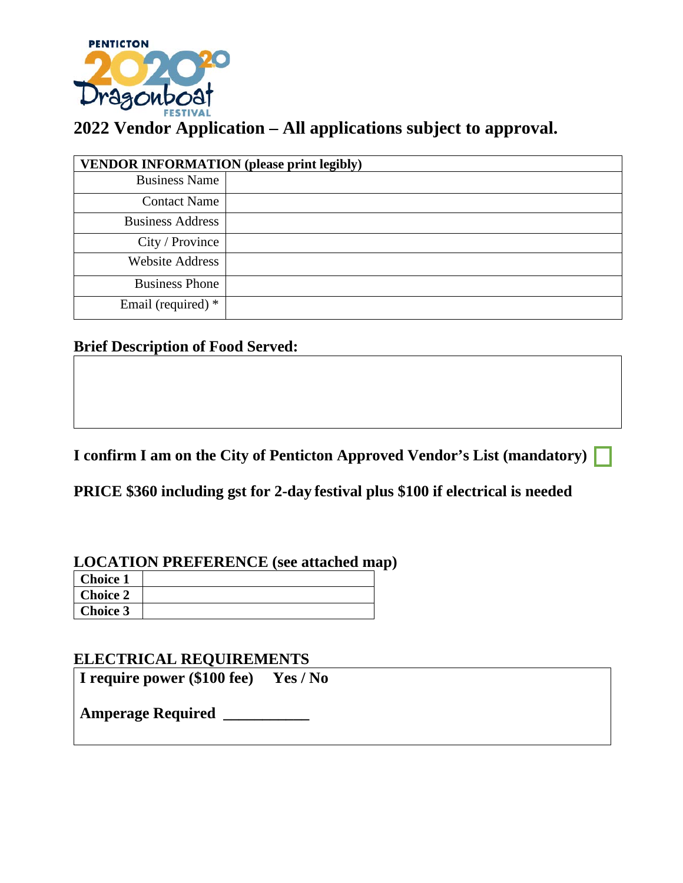

| <b>VENDOR INFORMATION</b> (please print legibly) |  |  |
|--------------------------------------------------|--|--|
| <b>Business Name</b>                             |  |  |
| <b>Contact Name</b>                              |  |  |
| <b>Business Address</b>                          |  |  |
| City / Province                                  |  |  |
| <b>Website Address</b>                           |  |  |
| <b>Business Phone</b>                            |  |  |
| Email (required) *                               |  |  |

# **Brief Description of Food Served:**

**I confirm I am on the City of Penticton Approved Vendor's List (mandatory)** 

**PRICE \$360 including gst for 2-day festival plus \$100 if electrical is needed**

## **LOCATION PREFERENCE (see attached map)**

| <b>Choice 1</b> |  |
|-----------------|--|
| <b>Choice 2</b> |  |
| <b>Choice 3</b> |  |

### **ELECTRICAL REQUIREMENTS**

**I require power (\$100 fee) Yes / No**

**Amperage Required \_\_\_\_\_\_\_\_\_\_\_**